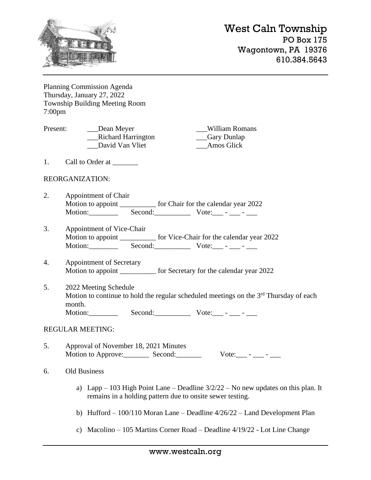

Planning Commission Agenda Thursday, January 27, 2022 Township Building Meeting Room 7:00pm

Present: Dean Meyer William Romans \_\_\_Richard Harrington \_\_\_Gary Dunlap David Van Vliet **Amos Glick** 

1. Call to Order at \_\_\_\_\_\_\_\_\_

### REORGANIZATION:

- 2. Appointment of Chair Motion to appoint <u>contained</u> for Chair for the calendar year 2022 Motion: \_\_\_\_\_\_\_\_ Second: \_\_\_\_\_\_\_\_ Vote: \_\_ - \_\_\_ - \_\_\_
- 3. Appointment of Vice-Chair Motion to appoint for Vice-Chair for the calendar year 2022 Motion: \_\_\_\_\_\_\_\_ Second: \_\_\_\_\_\_\_\_\_ Vote: \_\_\_ - \_\_\_ - \_\_\_
- 4. Appointment of Secretary Motion to appoint for Secretary for the calendar year 2022
- 5. 2022 Meeting Schedule Motion to continue to hold the regular scheduled meetings on the  $3<sup>rd</sup>$  Thursday of each month. Motion:\_\_\_\_\_\_\_\_ Second:\_\_\_\_\_\_\_\_\_\_ Vote:\_\_\_ - \_\_\_ - \_\_\_

#### REGULAR MEETING:

5. Approval of November 18, 2021 Minutes Motion to Approve: Second:  $\begin{array}{c} \text{We can be a} \\ \text{Note:} \end{array}$ 

### 6. Old Business

- a) Lapp 103 High Point Lane Deadline  $3/2/22$  No new updates on this plan. It remains in a holding pattern due to onsite sewer testing.
- b) Hufford 100/110 Moran Lane Deadline 4/26/22 Land Development Plan
- c) Macolino 105 Martins Corner Road Deadline 4/19/22 Lot Line Change